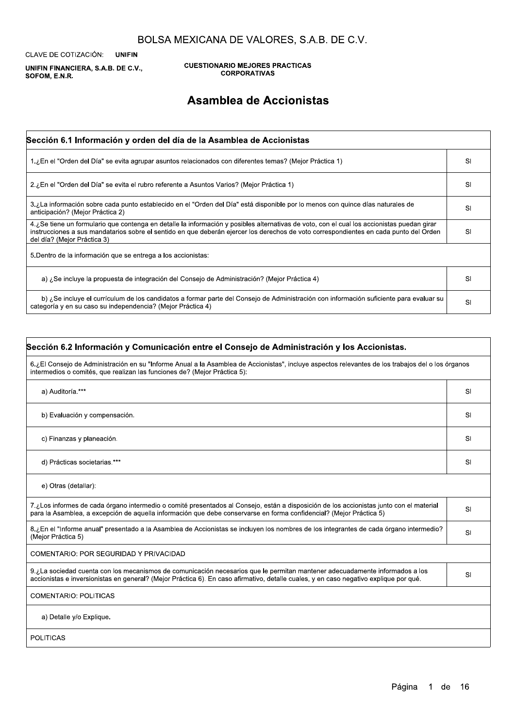CLAVE DE COTIZACIÓN: **UNIFIN** 

UNIFIN FINANCIERA, S.A.B. DE C.V., SOFOM, E.N.R.

**CUESTIONARIO MEJORES PRACTICAS CORPORATIVAS** 

## Asamblea de Accionistas

| Sección 6.1 Información y orden del día de la Asamblea de Accionistas                                                                                                                                                                                                                                               |           |
|---------------------------------------------------------------------------------------------------------------------------------------------------------------------------------------------------------------------------------------------------------------------------------------------------------------------|-----------|
| (Mejor Práctica 1) En el "Orden del Día" se evita agrupar asuntos relacionados con diferentes temas? (Mejor Práctica 1)                                                                                                                                                                                             | SI        |
| 2. En el "Orden del Día" se evita el rubro referente a Asuntos Varios? (Mejor Práctica 1)                                                                                                                                                                                                                           | SI        |
| 3. La información sobre cada punto establecido en el "Orden del Día" está disponible por lo menos con quince días naturales de<br>anticipación? (Mejor Práctica 2)                                                                                                                                                  | SI        |
| 4. ¿Se tiene un formulario que contenga en detalle la información y posibles alternativas de voto, con el cual los accionistas puedan girar<br>instrucciones a sus mandatarios sobre el sentido en que deberán ejercer los derechos de voto correspondientes en cada punto del Orden<br>del día? (Mejor Práctica 3) | SI        |
| 5. Dentro de la información que se entrega a los accionistas:                                                                                                                                                                                                                                                       |           |
| a) ¿Se incluye la propuesta de integración del Consejo de Administración? (Mejor Práctica 4)                                                                                                                                                                                                                        | <b>SI</b> |
| b) ¿Se incluye el currículum de los candidatos a formar parte del Consejo de Administración con información suficiente para evaluar su<br>categoría y en su caso su independencia? (Mejor Práctica 4)                                                                                                               | SI        |

### Sección 6.2 Información y Comunicación entre el Consejo de Administración y los Accionistas.

6.¿El Consejo de Administración en su "Informe Anual a la Asamblea de Accionistas", incluye aspectos relevantes de los trabajos del o los órganos intermedios o comités, que realizan las funciones de? (Mejor Práctica 5):

| a) Auditoría.***                                                                                                                                                                                                                                               | SI |
|----------------------------------------------------------------------------------------------------------------------------------------------------------------------------------------------------------------------------------------------------------------|----|
| b) Evaluación y compensación.                                                                                                                                                                                                                                  | SI |
| c) Finanzas y planeación.                                                                                                                                                                                                                                      | SI |
| d) Prácticas societarias.***                                                                                                                                                                                                                                   | SI |
| e) Otras (detallar):                                                                                                                                                                                                                                           |    |
| 7.¿Los informes de cada órgano intermedio o comité presentados al Consejo, están a disposición de los accionistas junto con el material<br>para la Asamblea, a excepción de aquella información que debe conservarse en forma confidencial? (Mejor Práctica 5) | SI |
| 8.¿En el "Informe anual" presentado a la Asamblea de Accionistas se incluyen los nombres de los integrantes de cada órgano intermedio?<br>(Mejor Práctica 5)                                                                                                   | SI |

| COMENTARIO: POR SEGURIDAD Y PRIVACIDAD                                                                                                                                                                                                                               |    |
|----------------------------------------------------------------------------------------------------------------------------------------------------------------------------------------------------------------------------------------------------------------------|----|
| 9. La sociedad cuenta con los mecanismos de comunicación necesarios que le permitan mantener adecuadamente informados a los<br>accionistas e inversionistas en general? (Mejor Práctica 6). En caso afirmativo, detalle cuales, y en caso negativo explique por qué. | SI |
| <b>COMENTARIO: POLITICAS</b>                                                                                                                                                                                                                                         |    |
| a) Detalle y/o Explique.                                                                                                                                                                                                                                             |    |
| <b>POLITICAS</b>                                                                                                                                                                                                                                                     |    |

### Página 1 de 16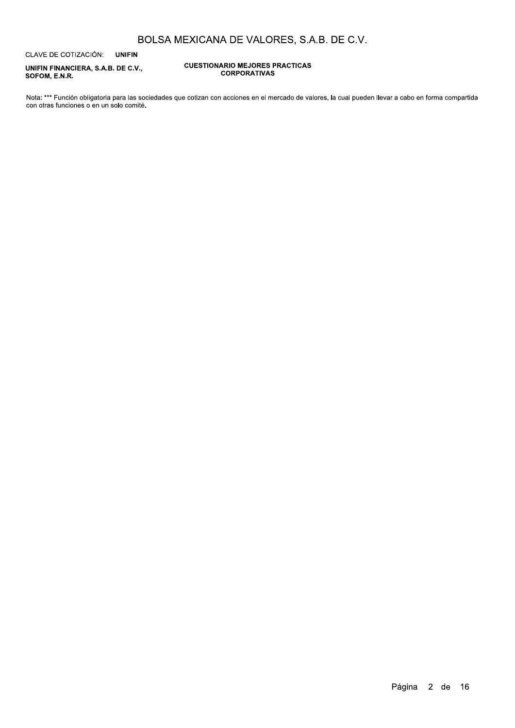CLAVE DE COTIZACIÓN: **UNIFIN** 

UNIFIN FINANCIERA, S.A.B. DE C.V., SOFOM, E.N.R.

#### **CUESTIONARIO MEJORES PRACTICAS CORPORATIVAS**

Nota: \*\*\* Función obligatoria para las sociedades que cotizan con acciones en el mercado de valores, la cual pueden llevar a cabo en forma compartida con otras funciones o en un solo comité.

Página 2 de 16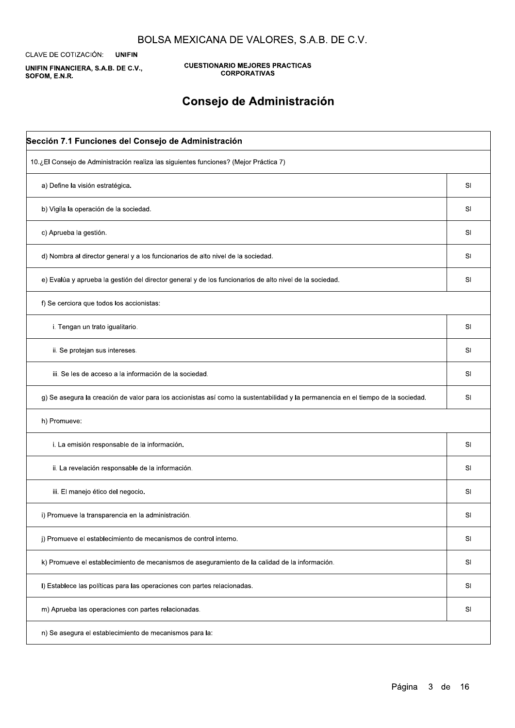CLAVE DE COTIZACIÓN: **UNIFIN** 

UNIFIN FINANCIERA, S.A.B. DE C.V., SOFOM, E.N.R.

**CUESTIONARIO MEJORES PRACTICAS CORPORATIVAS** 

# Consejo de Administración

| 10.¿El Consejo de Administración realiza las siguientes funciones? (Mejor Práctica 7)                                             |           |
|-----------------------------------------------------------------------------------------------------------------------------------|-----------|
| a) Define la visión estratégica.                                                                                                  | SI        |
| b) Vigila la operación de la sociedad.                                                                                            | SI        |
| c) Aprueba la gestión.                                                                                                            | SI        |
| d) Nombra al director general y a los funcionarios de alto nivel de la sociedad.                                                  | SI        |
| e) Evalúa y aprueba la gestión del director general y de los funcionarios de alto nivel de la sociedad.                           | SI        |
| f) Se cerciora que todos los accionistas:                                                                                         |           |
| i. Tengan un trato igualitario.                                                                                                   | SI        |
| ii. Se protejan sus intereses.                                                                                                    | SI        |
| iii. Se les de acceso a la información de la sociedad.                                                                            | SI        |
| g) Se asegura la creación de valor para los accionistas así como la sustentabilidad y la permanencia en el tiempo de la sociedad. | SI        |
| h) Promueve:                                                                                                                      |           |
| i. La emisión responsable de la información.                                                                                      | SI        |
| ii. La revelación responsable de la información.                                                                                  | SI        |
| iii. El manejo ético del negocio.                                                                                                 | SI        |
| i) Promueve la transparencia en la administración.                                                                                | SI        |
| j) Promueve el establecimiento de mecanismos de control interno.                                                                  | <b>SI</b> |

| k) Promueve el establecimiento de mecanismos de aseguramiento de la calidad de la información. | SI |
|------------------------------------------------------------------------------------------------|----|
| I) Establece las políticas para las operaciones con partes relacionadas.                       | SI |
| m) Aprueba las operaciones con partes relacionadas.                                            | SI |
| n) Se asegura el establecimiento de mecanismos para la:                                        |    |

## Página 3 de 16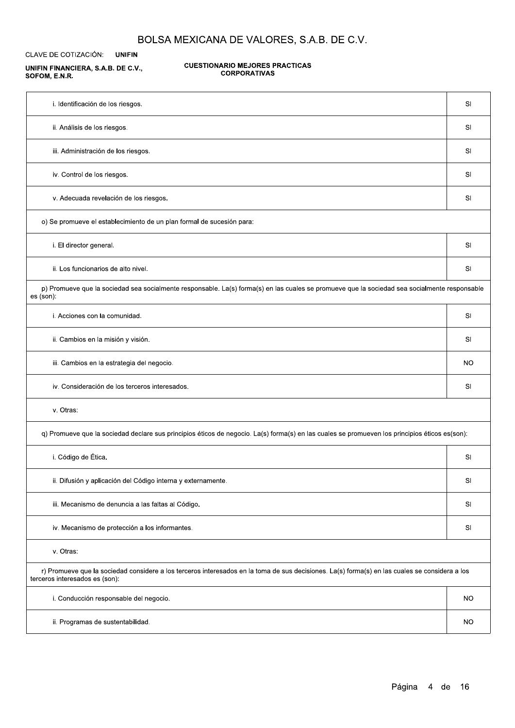CLAVE DE COTIZACIÓN: **UNIFIN** 

#### UNIFIN FINANCIERA, S.A.B. DE C.V., SOFOM, E.N.R.

#### **CUESTIONARIO MEJORES PRACTICAS CORPORATIVAS**

| i. Identificación de los riesgos.                                                                                                                          | SI        |
|------------------------------------------------------------------------------------------------------------------------------------------------------------|-----------|
| ii. Análisis de los riesgos.                                                                                                                               | SI        |
| iii. Administración de los riesgos.                                                                                                                        | <b>SI</b> |
| iv. Control de los riesgos.                                                                                                                                | SI        |
| v. Adecuada revelación de los riesgos.                                                                                                                     | SI        |
| o) Se promueve el establecimiento de un plan formal de sucesión para:                                                                                      |           |
| i. El director general.                                                                                                                                    | SI        |
| ii. Los funcionarios de alto nivel.                                                                                                                        | SI        |
| p) Promueve que la sociedad sea socialmente responsable. La(s) forma(s) en las cuales se promueve que la sociedad sea socialmente responsable<br>es (son): |           |
| i. Acciones con la comunidad.                                                                                                                              | SI        |
| ii. Cambios en la misión y visión.                                                                                                                         | SI        |
| iii. Cambios en la estrategia del negocio.                                                                                                                 | <b>NO</b> |
| iv. Consideración de los terceros interesados.                                                                                                             | SI        |
| v. Otras:                                                                                                                                                  |           |
| q) Promueve que la sociedad declare sus principios éticos de negocio. La(s) forma(s) en las cuales se promueven los principios éticos es(son):             |           |
| i. Código de Ética.                                                                                                                                        | SI        |
| ii. Difusión y aplicación del Código interna y externamente.                                                                                               | SI        |
| iii. Mecanismo de denuncia a las faltas al Código.                                                                                                         | SI        |
| iv. Mecanismo de protección a los informantes.                                                                                                             | <b>SI</b> |

v. Otras:

r) Promueve que la sociedad considere a los terceros interesados en la toma de sus decisiones. La(s) forma(s) en las cuales se considera a los terceros interesados es (son):

| i. Conducción responsable del negocio. | <b>NC</b> |
|----------------------------------------|-----------|
| ii. Programas de sustentabilidad.      | <b>NC</b> |

Página 4 de 16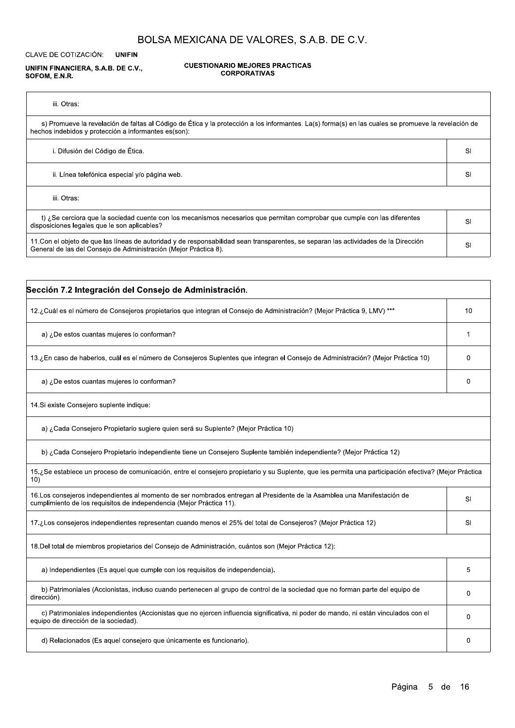CLAVE DE COTIZACIÓN: **UNIFIN** 

UNIFIN FINANCIERA, S.A.B. DE C.V., SOFOM, E.N.R.

#### **CUESTIONARIO MEJORES PRACTICAS CORPORATIVAS**

| iii. Otras:                                                                                                                                                                                                 |    |
|-------------------------------------------------------------------------------------------------------------------------------------------------------------------------------------------------------------|----|
| s) Promueve la revelación de faltas al Código de Ética y la protección a los informantes. La(s) forma(s) en las cuales se promueve la revelación de<br>hechos indebidos y protección a informantes es(son): |    |
| i. Difusión del Código de Ética.                                                                                                                                                                            | SI |
| ii. Línea telefónica especial y/o página web.                                                                                                                                                               | SI |
| iii. Otras:                                                                                                                                                                                                 |    |
| t) ¿Se cerciora que la sociedad cuente con los mecanismos necesarios que permitan comprobar que cumple con las diferentes<br>disposiciones legales que le son aplicables?                                   | SI |
| 11. Con el objeto de que las líneas de autoridad y de responsabilidad sean transparentes, se separan las actividades de la Dirección<br>General de las del Consejo de Administración (Mejor Práctica 8).    | SI |

| Sección 7.2 Integración del Consejo de Administración.                                                                                                                                           |    |
|--------------------------------------------------------------------------------------------------------------------------------------------------------------------------------------------------|----|
| 12.¿Cuál es el número de Consejeros propietarios que integran el Consejo de Administración? (Mejor Práctica 9, LMV) ***                                                                          | 10 |
| a) ¿De estos cuantas mujeres lo conforman?                                                                                                                                                       |    |
| 13.¿En caso de haberlos, cuál es el número de Consejeros Suplentes que integran el Consejo de Administración? (Mejor Práctica 10)                                                                | 0  |
| a) ¿De estos cuantas mujeres lo conforman?                                                                                                                                                       | 0  |
| 14. Si existe Consejero suplente indique:                                                                                                                                                        |    |
| a) ¿Cada Consejero Propietario sugiere quien será su Suplente? (Mejor Práctica 10)                                                                                                               |    |
| b) ¿Cada Consejero Propietario independiente tiene un Consejero Suplente también independiente? (Mejor Práctica 12)                                                                              |    |
| 15.¿Se establece un proceso de comunicación, entre el consejero propietario y su Suplente, que les permita una participación efectiva? (Mejor Práctica<br>10)                                    |    |
| 16. Los consejeros independientes al momento de ser nombrados entregan al Presidente de la Asamblea una Manifestación de<br>cumplimiento de los requisitos de independencia (Mejor Práctica 11). | SI |
| 17.¿Los consejeros independientes representan cuando menos el 25% del total de Consejeros? (Mejor Práctica 12)                                                                                   | SI |
| 18. Del total de miembros propietarios del Consejo de Administración, cuántos son (Mejor Práctica 12):                                                                                           |    |

| 18. Del total de miembros propietarios del Consejo de Administración, cuántos son (Mejor Práctica 12):                                                                      |  |
|-----------------------------------------------------------------------------------------------------------------------------------------------------------------------------|--|
| a) Independientes (Es aquel que cumple con los requisitos de independencia).                                                                                                |  |
| b) Patrimoniales (Accionistas, incluso cuando pertenecen al grupo de control de la sociedad que no forman parte del equipo de<br>dirección).                                |  |
| c) Patrimoniales independientes (Accionistas que no ejercen influencia significativa, ni poder de mando, ni están vinculados con el<br>equipo de dirección de la sociedad). |  |
| d) Relacionados (Es aquel consejero que únicamente es funcionario).                                                                                                         |  |

## Página 5 de 16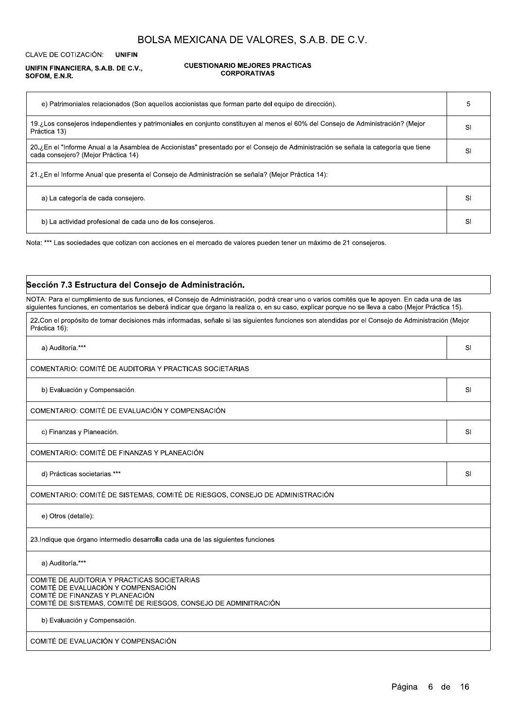**CLAVE DE COTIZACIÓN: UNIFIN** 

#### UNIFIN FINANCIERA, S.A.B. DE C.V., SOFOM, E.N.R.

 $\mathsf{r}$ 

#### **CUESTIONARIO MEJORES PRACTICAS CORPORATIVAS**

| e) Patrimoniales relacionados (Son aquellos accionistas que forman parte del equipo de dirección).                                                                          |    |
|-----------------------------------------------------------------------------------------------------------------------------------------------------------------------------|----|
| 19.¿Los consejeros independientes y patrimoniales en conjunto constituyen al menos el 60% del Consejo de Administración? (Mejor<br>Práctica 13)                             | SI |
| 20. ¿En el "Informe Anual a la Asamblea de Accionistas" presentado por el Consejo de Administración se señala la categoría que tiene<br>cada consejero? (Mejor Práctica 14) | SI |
| 21.¿En el Informe Anual que presenta el Consejo de Administración se señala? (Mejor Práctica 14):                                                                           |    |
| a) La categoría de cada consejero.                                                                                                                                          | SI |
| b) La actividad profesional de cada uno de los consejeros.                                                                                                                  | SI |

Nota: \*\*\* Las sociedades que cotizan con acciones en el mercado de valores pueden tener un máximo de 21 consejeros.

#### Sección 7.3 Estructura del Consejo de Administración.

NOTA: Para el cumplimiento de sus funciones, el Consejo de Administración, podrá crear uno o varios comités que le apoyen. En cada una de las siguientes funciones, en comentarios se deberá indicar que órgano la realiza o, en su caso, explicar porque no se lleva a cabo (Mejor Práctica 15).

| 22. Con el propósito de tomar decisiones más informadas, señale si las siguientes funciones son atendidas por el Consejo de Administración (Mejor<br>Práctica 16): |    |
|--------------------------------------------------------------------------------------------------------------------------------------------------------------------|----|
| a) Auditoría.***                                                                                                                                                   | SI |
| COMENTARIO: COMITÉ DE AUDITORIA Y PRACTICAS SOCIETARIAS                                                                                                            |    |
| b) Evaluación y Compensación.                                                                                                                                      | SI |
| COMENTARIO: COMITÉ DE EVALUACIÓN Y COMPENSACIÓN                                                                                                                    |    |
| c) Finanzas y Planeación.                                                                                                                                          | SI |
| COMENTARIO: COMITÉ DE FINANZAS Y PLANEACIÓN                                                                                                                        |    |
| d) Prácticas societarias.***                                                                                                                                       | SI |
| COMENTARIO: COMITÉ DE SISTEMAS, COMITÉ DE RIESGOS, CONSEJO DE ADMINISTRACIÓN                                                                                       |    |
| e) Otros (detalle):                                                                                                                                                |    |
|                                                                                                                                                                    |    |

a) Auditoría.\*\*\*

COMITE DE AUDITORIA Y PRACTICAS SOCIETARIAS COMITÉ DE EVALUACIÓN Y COMPENSACIÓN COMITÉ DE FINANZAS Y PLANEACIÓN COMITÉ DE SISTEMAS, COMITÉ DE RIESGOS, CONSEJO DE ADMINITRACIÓN

23. Indique que órgano intermedio desarrolla cada una de las siguientes funciones

b) Evaluación y Compensación.

COMITÉ DE EVALUACIÓN Y COMPENSACIÓN

Página 6 de 16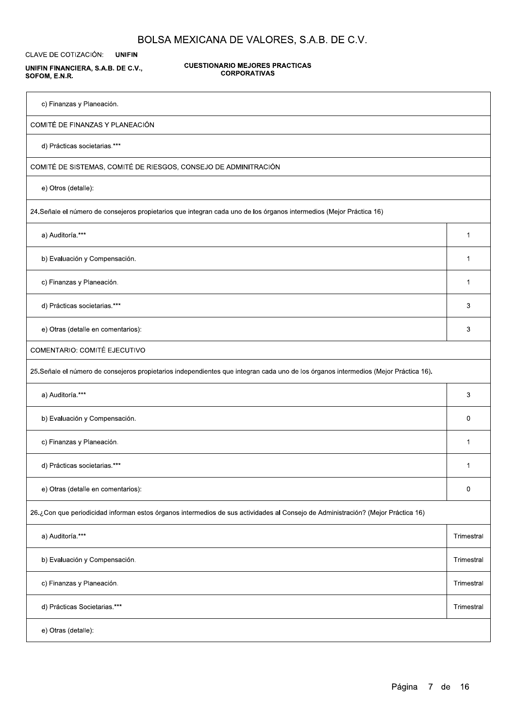CLAVE DE COTIZACIÓN: **UNIFIN** 

UNIFIN FINANCIERA, S.A.B. DE C.V., SOFOM, E.N.R.

**CUESTIONARIO MEJORES PRACTICAS CORPORATIVAS** 

c) Finanzas y Planeación.

COMITÉ DE FINANZAS Y PLANEACIÓN

d) Prácticas societarias.\*\*\*

COMITÉ DE SISTEMAS, COMITÉ DE RIESGOS, CONSEJO DE ADMINITRACIÓN

e) Otros (detalle):

24. Señale el número de consejeros propietarios que integran cada uno de los órganos intermedios (Mejor Práctica 16)

a) Auditoría.\*\*\*

b) Evaluación y Compensación.

c) Finanzas y Planeación.

d) Prácticas societarias.\*\*\*

e) Otras (detalle en comentarios):

**COMENTARIO: COMITÉ EJECUTIVO** 

25. Señale el número de consejeros propietarios independientes que integran cada uno de los órganos intermedios (Mejor Práctica 16).

| a) Auditoría.***                                                                                                                 | 3          |
|----------------------------------------------------------------------------------------------------------------------------------|------------|
| b) Evaluación y Compensación.                                                                                                    |            |
| c) Finanzas y Planeación.                                                                                                        |            |
| d) Prácticas societarias.***                                                                                                     |            |
| e) Otras (detalle en comentarios):                                                                                               |            |
| 26.¿Con que periodicidad informan estos órganos intermedios de sus actividades al Consejo de Administración? (Mejor Práctica 16) |            |
| a) Auditoría.***                                                                                                                 | Trimestral |

| b) Evaluación y Compensación. | Trimestral |
|-------------------------------|------------|
| c) Finanzas y Planeación.     | Trimestral |
| d) Prácticas Societarias.***  | Trimestral |
| e) Otras (detalle):           |            |

### Página 7 de 16

 $\mathbf{1}$ 

 $\mathbf 1$ 

 $\mathbf 1$ 

 $\mathbf{3}$ 

 $\overline{3}$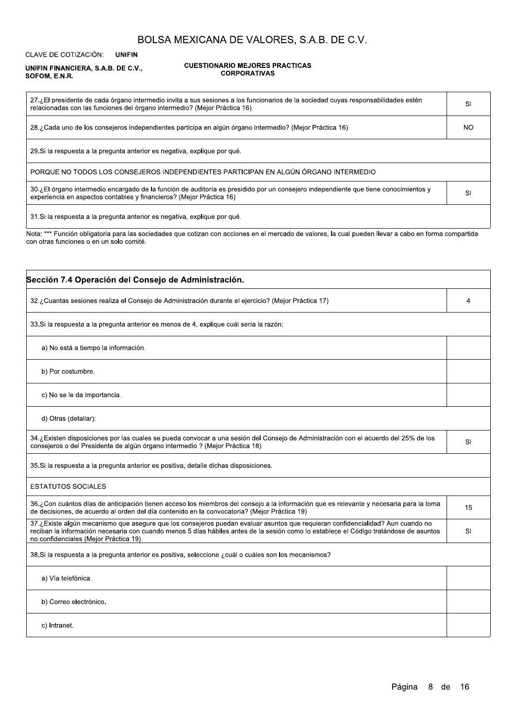CLAVE DE COTIZACIÓN: **UNIFIN** 

#### UNIFIN FINANCIERA, S.A.B. DE C.V., SOFOM, E.N.R.

 $\Gamma$ 

#### **CUESTIONARIO MEJORES PRACTICAS CORPORATIVAS**

| 27.¿El presidente de cada órgano intermedio invita a sus sesiones a los funcionarios de la sociedad cuyas responsabilidades estén<br>relacionadas con las funciones del órgano intermedio? (Mejor Práctica 16) | SI  |
|----------------------------------------------------------------------------------------------------------------------------------------------------------------------------------------------------------------|-----|
| 28.¿Cada uno de los consejeros independientes participa en algún órgano intermedio? (Mejor Práctica 16)                                                                                                        | NO. |
| 29. Si la respuesta a la pregunta anterior es negativa, explique por qué.                                                                                                                                      |     |
| PORQUE NO TODOS LOS CONSEJEROS INDEPENDIENTES PARTICIPAN EN ALGÚN ÓRGANO INTERMEDIO                                                                                                                            |     |
| 30.¿El órgano intermedio encargado de la función de auditoría es presidido por un consejero independiente que tiene conocimientos y<br>experiencia en aspectos contables y financieros? (Mejor Práctica 16)    | SI  |
| 31. Si la respuesta a la pregunta anterior es negativa, explique por qué.                                                                                                                                      |     |
| Nota: *** Función obligatoria para las sociedades que cotizan con acciones en el mercado de valores, la cual pueden llevar a cabo en forma compartida<br>con otras funciones o en un solo comité.              |     |

| Sección 7.4 Operación del Consejo de Administración.                                                                                                                                                                                                                                                              |    |
|-------------------------------------------------------------------------------------------------------------------------------------------------------------------------------------------------------------------------------------------------------------------------------------------------------------------|----|
| 32.¿Cuantas sesiones realiza el Consejo de Administración durante el ejercicio? (Mejor Práctica 17)                                                                                                                                                                                                               | 4  |
| 33. Si la respuesta a la pregunta anterior es menos de 4, explique cuál sería la razón:                                                                                                                                                                                                                           |    |
| a) No está a tiempo la información.                                                                                                                                                                                                                                                                               |    |
| b) Por costumbre.                                                                                                                                                                                                                                                                                                 |    |
| c) No se le da importancia.                                                                                                                                                                                                                                                                                       |    |
| d) Otras (detallar):                                                                                                                                                                                                                                                                                              |    |
| 34.¿Existen disposiciones por las cuales se pueda convocar a una sesión del Consejo de Administración con el acuerdo del 25% de los<br>consejeros o del Presidente de algún órgano intermedio ? (Mejor Práctica 18)                                                                                               | SI |
| 35. Si la respuesta a la pregunta anterior es positiva, detalle dichas disposiciones.                                                                                                                                                                                                                             |    |
| <b>ESTATUTOS SOCIALES</b>                                                                                                                                                                                                                                                                                         |    |
| 36.¿Con cuántos días de anticipación tienen acceso los miembros del consejo a la información que es relevante y necesaria para la toma<br>de decisiones, de acuerdo al orden del día contenido en la convocatoria? (Mejor Práctica 19)                                                                            | 15 |
| 37.¿Existe algún mecanismo que asegure que los consejeros puedan evaluar asuntos que requieran confidencialidad? Aun cuando no<br>reciban la información necesaria con cuando menos 5 días hábiles antes de la sesión como lo establece el Código tratándose de asuntos<br>no confidenciales (Mejor Práctica 19). | SI |

| 38. Si la respuesta a la pregunta anterior es positiva, seleccione ¿cuál o cuáles son los mecanismos? |  |
|-------------------------------------------------------------------------------------------------------|--|
| a) Vía telefónica.                                                                                    |  |
| b) Correo electrónico.                                                                                |  |
| c) Intranet.                                                                                          |  |

## Página 8 de 16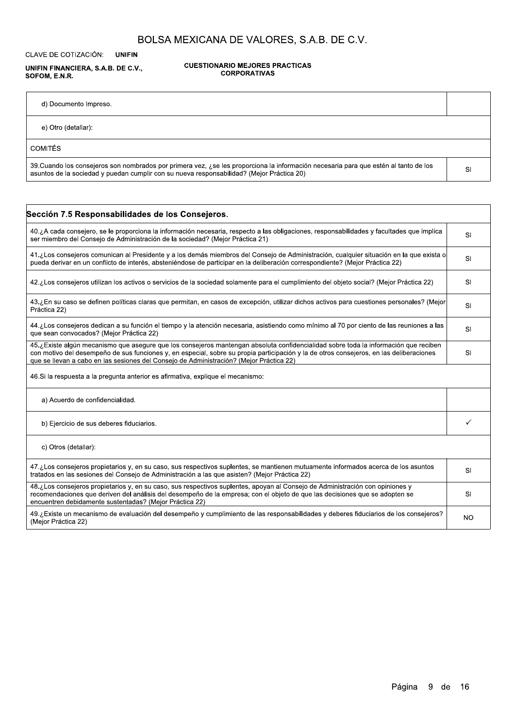CLAVE DE COTIZACIÓN: **UNIFIN** 

UNIFIN FINANCIERA, S.A.B. DE C.V., SOFOM, E.N.R.

**CUESTIONARIO MEJORES PRACTICAS CORPORATIVAS** 

d) Documento Impreso.

e) Otro (detallar):

**COMITÉS** 

39. Cuando los consejeros son nombrados por primera vez, ¿se les proporciona la información necesaria para que estén al tanto de los asuntos de la sociedad y puedan cumplir con su nueva responsabilidad? (Mejor Práctica 20)

| Sección 7.5 Responsabilidades de los Consejeros.                                                                                                                                                                                                                                                                                                                          |           |
|---------------------------------------------------------------------------------------------------------------------------------------------------------------------------------------------------------------------------------------------------------------------------------------------------------------------------------------------------------------------------|-----------|
| 40.¿A cada consejero, se le proporciona la información necesaria, respecto a las obligaciones, responsabilidades y facultades que implica<br>ser miembro del Consejo de Administración de la sociedad? (Mejor Práctica 21)                                                                                                                                                | SI        |
| 41.¿Los consejeros comunican al Presidente y a los demás miembros del Consejo de Administración, cualquier situación en la que exista o<br>pueda derivar en un conflicto de interés, absteniéndose de participar en la deliberación correspondiente? (Mejor Práctica 22)                                                                                                  | SI        |
| 42.¿Los consejeros utilizan los activos o servicios de la sociedad solamente para el cumplimiento del objeto social? (Mejor Práctica 22)                                                                                                                                                                                                                                  | SI        |
| 43.¿En su caso se definen políticas claras que permitan, en casos de excepción, utilizar dichos activos para cuestiones personales? (Mejor<br>Práctica 22)                                                                                                                                                                                                                | SI        |
| 44.¿Los consejeros dedican a su función el tiempo y la atención necesaria, asistiendo como mínimo al 70 por ciento de las reuniones a las<br>que sean convocados? (Mejor Práctica 22)                                                                                                                                                                                     | SI        |
| 45.¿Existe algún mecanismo que asegure que los consejeros mantengan absoluta confidencialidad sobre toda la información que reciben<br>con motivo del desempeño de sus funciones y, en especial, sobre su propia participación y la de otros consejeros, en las deliberaciones<br>que se llevan a cabo en las sesiones del Consejo de Administración? (Mejor Práctica 22) | SI        |
| 46. Si la respuesta a la pregunta anterior es afirmativa, explique el mecanismo:                                                                                                                                                                                                                                                                                          |           |
| a) Acuerdo de confidencialidad.                                                                                                                                                                                                                                                                                                                                           |           |
| b) Ejercicio de sus deberes fiduciarios.                                                                                                                                                                                                                                                                                                                                  |           |
| c) Otros (detallar):                                                                                                                                                                                                                                                                                                                                                      |           |
| 47.¿Los consejeros propietarios y, en su caso, sus respectivos suplentes, se mantienen mutuamente informados acerca de los asuntos<br>tratados en las sesiones del Consejo de Administración a las que asisten? (Mejor Práctica 22)                                                                                                                                       | SI        |
| 48.¿Los consejeros propietarios y, en su caso, sus respectivos suplentes, apoyan al Consejo de Administración con opiniones y<br>recomendaciones que deriven del análisis del desempeño de la empresa; con el objeto de que las decisiones que se adopten se<br>encuentren debidamente sustentadas? (Mejor Práctica 22)                                                   | SI        |
| 49.¿Existe un mecanismo de evaluación del desempeño y cumplimiento de las responsabilidades y deberes fiduciarios de los consejeros?<br>(Mejor Práctica 22)                                                                                                                                                                                                               | <b>NO</b> |

Página 9 de 16

 $SI$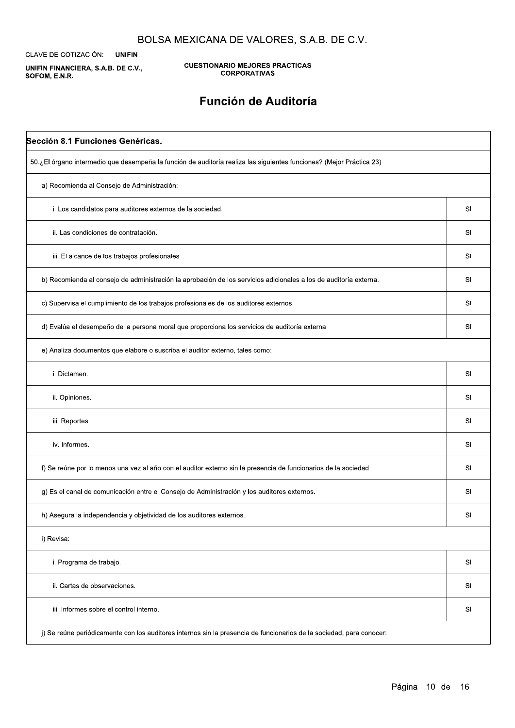CLAVE DE COTIZACIÓN: **UNIFIN** 

UNIFIN FINANCIERA, S.A.B. DE C.V., SOFOM, E.N.R.

Л

**CUESTIONARIO MEJORES PRACTICAS CORPORATIVAS** 

## Función de Auditoría

| Sección 8.1 Funciones Genéricas.                                                                                     |           |
|----------------------------------------------------------------------------------------------------------------------|-----------|
| 50.¿El órgano intermedio que desempeña la función de auditoría realiza las siguientes funciones? (Mejor Práctica 23) |           |
| a) Recomienda al Consejo de Administración:                                                                          |           |
| i. Los candidatos para auditores externos de la sociedad.                                                            | SI        |
| ii. Las condiciones de contratación.                                                                                 | SI        |
| iii. El alcance de los trabajos profesionales.                                                                       | SI        |
| b) Recomienda al consejo de administración la aprobación de los servicios adicionales a los de auditoría externa.    | <b>SI</b> |
| c) Supervisa el cumplimiento de los trabajos profesionales de los auditores externos.                                | SI        |
| d) Evalúa el desempeño de la persona moral que proporciona los servicios de auditoría externa.                       | SI        |
| e) Analiza documentos que elabore o suscriba el auditor externo, tales como:                                         |           |
| i. Dictamen.                                                                                                         | SI        |
| ii. Opiniones.                                                                                                       | SI        |
| iii. Reportes.                                                                                                       | SI        |
| iv. Informes.                                                                                                        | SI        |
| f) Se reúne por lo menos una vez al año con el auditor externo sin la presencia de funcionarios de la sociedad.      | SI        |
| g) Es el canal de comunicación entre el Consejo de Administración y los auditores externos.                          | SI        |
| h) Asegura la independencia y objetividad de los auditores externos.                                                 | SI        |
| i) Revisa:                                                                                                           |           |

| i. Programa de trabajo.                                                                                              | SI             |
|----------------------------------------------------------------------------------------------------------------------|----------------|
| ii. Cartas de observaciones.                                                                                         | S <sub>l</sub> |
| iii. Informes sobre el control interno.                                                                              | SI             |
| j) Se reúne periódicamente con los auditores internos sin la presencia de funcionarios de la sociedad, para conocer: |                |

## Página 10 de 16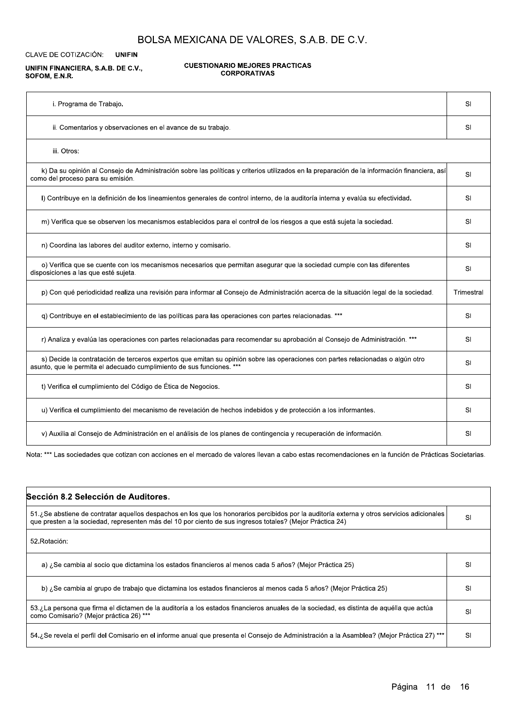CLAVE DE COTIZACIÓN: **UNIFIN** 

#### UNIFIN FINANCIERA, S.A.B. DE C.V., SOFOM, E.N.R.

#### **CUESTIONARIO MEJORES PRACTICAS CORPORATIVAS**

| i. Programa de Trabajo.                                                                                                                                                                                  | SI         |
|----------------------------------------------------------------------------------------------------------------------------------------------------------------------------------------------------------|------------|
| ii. Comentarios y observaciones en el avance de su trabajo.                                                                                                                                              | SI         |
| iii. Otros:                                                                                                                                                                                              |            |
| k) Da su opinión al Consejo de Administración sobre las políticas y criterios utilizados en la preparación de la información financiera, así<br>como del proceso para su emisión.                        | SI         |
| I) Contribuye en la definición de los lineamientos generales de control interno, de la auditoría interna y evalúa su efectividad.                                                                        | SI         |
| m) Verifica que se observen los mecanismos establecidos para el control de los riesgos a que está sujeta la sociedad.                                                                                    | SI         |
| n) Coordina las labores del auditor externo, interno y comisario.                                                                                                                                        | SI         |
| o) Verifica que se cuente con los mecanismos necesarios que permitan asegurar que la sociedad cumple con las diferentes<br>disposiciones a las que esté sujeta.                                          | SI         |
| p) Con qué periodicidad realiza una revisión para informar al Consejo de Administración acerca de la situación legal de la sociedad.                                                                     | Trimestral |
| q) Contribuye en el establecimiento de las políticas para las operaciones con partes relacionadas. ***                                                                                                   | SI         |
| r) Analiza y evalúa las operaciones con partes relacionadas para recomendar su aprobación al Consejo de Administración. ***                                                                              | SI         |
| s) Decide la contratación de terceros expertos que emitan su opinión sobre las operaciones con partes relacionadas o algún otro<br>asunto, que le permita el adecuado cumplimiento de sus funciones. *** | SI         |
| t) Verifica el cumplimiento del Código de Ética de Negocios.                                                                                                                                             | SI         |
| u) Verifica el cumplimiento del mecanismo de revelación de hechos indebidos y de protección a los informantes.                                                                                           | SI         |
| v) Auxilia al Consejo de Administración en el análisis de los planes de contingencia y recuperación de información.                                                                                      | SI         |

Nota: \*\*\* Las sociedades que cotizan con acciones en el mercado de valores llevan a cabo estas recomendaciones en la función de Prácticas Societarias.

| Sección 8.2 Selección de Auditores.                                                                                                                                                                                                                      |  |
|----------------------------------------------------------------------------------------------------------------------------------------------------------------------------------------------------------------------------------------------------------|--|
| 51.¿Se abstiene de contratar aquellos despachos en los que los honorarios percibidos por la auditoría externa y otros servicios adicionales<br>que presten a la sociedad, representen más del 10 por ciento de sus ingresos totales? (Mejor Práctica 24) |  |
| 52.Rotación:                                                                                                                                                                                                                                             |  |

| a) ¿Se cambia al socio que dictamina los estados financieros al menos cada 5 años? (Mejor Práctica 25)                                                                             | S |
|------------------------------------------------------------------------------------------------------------------------------------------------------------------------------------|---|
| b) ¿Se cambia al grupo de trabajo que dictamina los estados financieros al menos cada 5 años? (Mejor Práctica 25)                                                                  | S |
| 53.¿La persona que firma el dictamen de la auditoría a los estados financieros anuales de la sociedad, es distinta de aquélla que actúa<br>como Comisario? (Mejor práctica 26) *** | S |
| 54. ¿Se revela el perfil del Comisario en el informe anual que presenta el Consejo de Administración a la Asamblea? (Mejor Práctica 27) ***                                        | S |

Página 11 de 16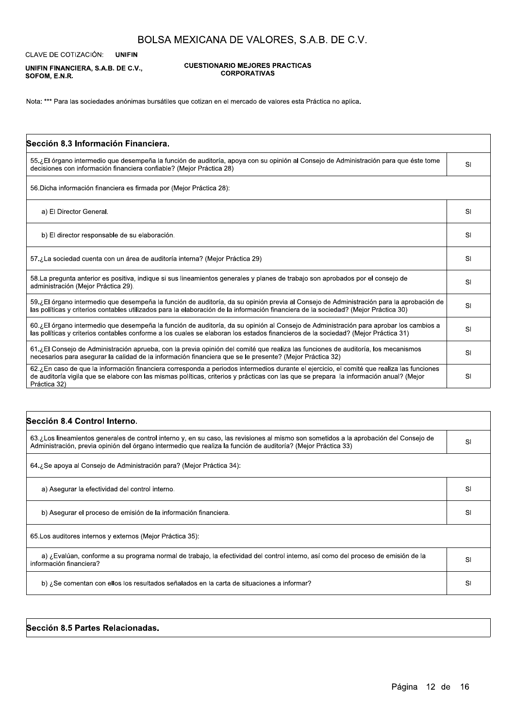**UNIFIN** CLAVE DE COTIZACIÓN:

UNIFIN FINANCIERA, S.A.B. DE C.V., SOFOM, E.N.R.

**CUESTIONARIO MEJORES PRACTICAS CORPORATIVAS** 

Nota: \*\*\* Para las sociedades anónimas bursátiles que cotizan en el mercado de valores esta Práctica no aplica.

| Sección 8.3 Información Financiera.                                                                                                                                                                                                                                                                 |    |
|-----------------------------------------------------------------------------------------------------------------------------------------------------------------------------------------------------------------------------------------------------------------------------------------------------|----|
| 55.¿El órgano intermedio que desempeña la función de auditoría, apoya con su opinión al Consejo de Administración para que éste tome<br>decisiones con información financiera confiable? (Mejor Práctica 28)                                                                                        | SI |
| 56. Dicha información financiera es firmada por (Mejor Práctica 28):                                                                                                                                                                                                                                |    |
| a) El Director General.                                                                                                                                                                                                                                                                             | SI |
| b) El director responsable de su elaboración.                                                                                                                                                                                                                                                       | SI |
| 57.¿La sociedad cuenta con un área de auditoría interna? (Mejor Práctica 29)                                                                                                                                                                                                                        | SI |
| 58. La pregunta anterior es positiva, indique si sus lineamientos generales y planes de trabajo son aprobados por el consejo de<br>administración (Mejor Práctica 29).                                                                                                                              | SI |
| 59.¿El órgano intermedio que desempeña la función de auditoría, da su opinión previa al Consejo de Administración para la aprobación de<br>las políticas y criterios contables utilizados para la elaboración de la información financiera de la sociedad? (Mejor Práctica 30)                      | SI |
| 60.¿El órgano intermedio que desempeña la función de auditoría, da su opinión al Consejo de Administración para aprobar los cambios a<br>las políticas y criterios contables conforme a los cuales se elaboran los estados financieros de la sociedad? (Mejor Práctica 31)                          | SI |
| 61.¿El Consejo de Administración aprueba, con la previa opinión del comité que realiza las funciones de auditoría, los mecanismos<br>necesarios para asegurar la calidad de la información financiera que se le presente? (Mejor Práctica 32)                                                       | SI |
| 62.¿En caso de que la información financiera corresponda a periodos intermedios durante el ejercicio, el comité que realiza las funciones<br>de auditoría vigila que se elabore con las mismas políticas, criterios y prácticas con las que se prepara la información anual? (Mejor<br>Práctica 32) | SI |

| Sección 8.4 Control Interno.                                                                                                                                                                                                                           |     |
|--------------------------------------------------------------------------------------------------------------------------------------------------------------------------------------------------------------------------------------------------------|-----|
| 63.¿Los lineamientos generales de control interno y, en su caso, las revisiones al mismo son sometidos a la aprobación del Consejo de<br>Administración, previa opinión del órgano intermedio que realiza la función de auditoría? (Mejor Práctica 33) | SI  |
| 64.¿Se apoya al Consejo de Administración para? (Mejor Práctica 34):                                                                                                                                                                                   |     |
| a) Asegurar la efectividad del control interno.                                                                                                                                                                                                        | -SI |
| b) Asegurar el proceso de emisión de la información financiera.                                                                                                                                                                                        | SI  |
| 65. Los auditores internos y externos (Mejor Práctica 35).                                                                                                                                                                                             |     |

| a) ¿Evalúan, conforme a su programa normal de trabajo, la efectividad del control interno, así como del proceso de emisión de la<br>información financiera? |  |
|-------------------------------------------------------------------------------------------------------------------------------------------------------------|--|
| b) ¿Se comentan con ellos los resultados señalados en la carta de situaciones a informar?                                                                   |  |

Sección 8.5 Partes Relacionadas.

Página 12 de 16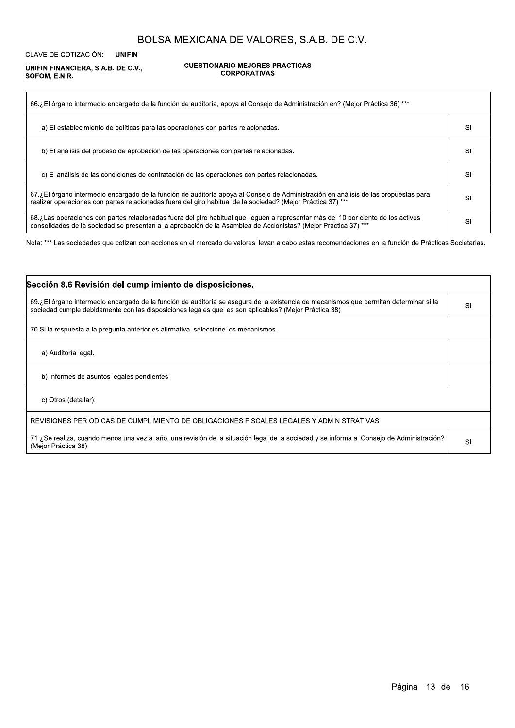CLAVE DE COTIZACIÓN: **UNIFIN** 

#### UNIFIN FINANCIERA, S.A.B. DE C.V., SOFOM, E.N.R.

 $\Gamma$ 

#### **CUESTIONARIO MEJORES PRACTICAS CORPORATIVAS**

| 66.¿El órgano intermedio encargado de la función de auditoría, apoya al Consejo de Administración en? (Mejor Práctica 36) ***                                                                                                                         |           |
|-------------------------------------------------------------------------------------------------------------------------------------------------------------------------------------------------------------------------------------------------------|-----------|
| a) El establecimiento de políticas para las operaciones con partes relacionadas.                                                                                                                                                                      | SI        |
| b) El análisis del proceso de aprobación de las operaciones con partes relacionadas.                                                                                                                                                                  | SI        |
| c) El análisis de las condiciones de contratación de las operaciones con partes relacionadas.                                                                                                                                                         | <b>SI</b> |
| 67.¿El órgano intermedio encargado de la función de auditoría apoya al Consejo de Administración en análisis de las propuestas para<br>realizar operaciones con partes relacionadas fuera del giro habitual de la sociedad? (Mejor Práctica 37) ***   | SI        |
| 68.¿Las operaciones con partes relacionadas fuera del giro habitual que lleguen a representar más del 10 por ciento de los activos<br>consolidados de la sociedad se presentan a la aprobación de la Asamblea de Accionistas? (Mejor Práctica 37) *** | SI        |

Nota: \*\*\* Las sociedades que cotizan con acciones en el mercado de valores llevan a cabo estas recomendaciones en la función de Prácticas Societarias.

| Sección 8.6 Revisión del cumplimiento de disposiciones.                                                                                                                                                                                        |    |
|------------------------------------------------------------------------------------------------------------------------------------------------------------------------------------------------------------------------------------------------|----|
| 69.¿El órgano intermedio encargado de la función de auditoría se asegura de la existencia de mecanismos que permitan determinar si la<br>sociedad cumple debidamente con las disposiciones legales que les son aplicables? (Mejor Práctica 38) | SI |
| 70. Si la respuesta a la pregunta anterior es afirmativa, seleccione los mecanismos.                                                                                                                                                           |    |
| a) Auditoría legal.                                                                                                                                                                                                                            |    |
| b) Informes de asuntos legales pendientes.                                                                                                                                                                                                     |    |
| c) Otros (detallar):                                                                                                                                                                                                                           |    |
| REVISIONES PERIODICAS DE CUMPLIMIENTO DE OBLIGACIONES FISCALES LEGALES Y ADMINISTRATIVAS                                                                                                                                                       |    |
| 71.¿Se realiza, cuando menos una vez al año, una revisión de la situación legal de la sociedad y se informa al Consejo de Administración?<br>(Mejor Práctica 38)                                                                               | SI |

Página 13 de 16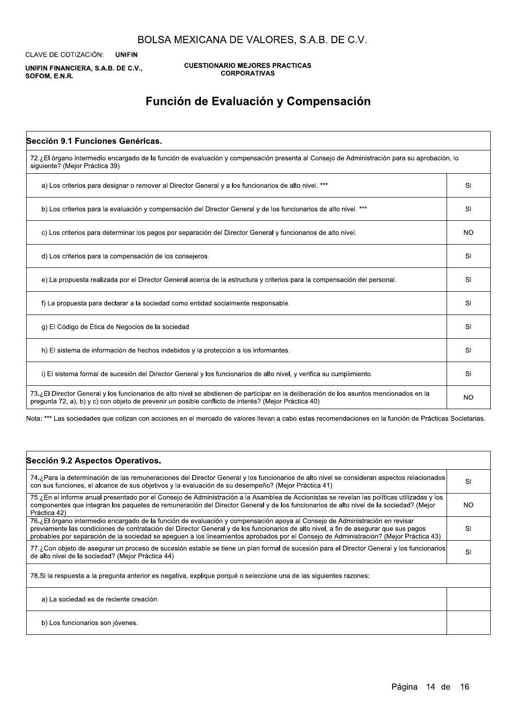CLAVE DE COTIZACIÓN: **UNIFIN** 

UNIFIN FINANCIERA, S.A.B. DE C.V., SOFOM, E.N.R.

**CUESTIONARIO MEJORES PRACTICAS CORPORATIVAS** 

# Función de Evaluación y Compensación

| Sección 9.1 Funciones Genéricas.                                                                                                                                                                                                                |           |
|-------------------------------------------------------------------------------------------------------------------------------------------------------------------------------------------------------------------------------------------------|-----------|
| 72.¿El órgano intermedio encargado de la función de evaluación y compensación presenta al Consejo de Administración para su aprobación, lo<br>siguiente? (Mejor Práctica 39)                                                                    |           |
| a) Los criterios para designar o remover al Director General y a los funcionarios de alto nivel. ***                                                                                                                                            | SI        |
| b) Los criterios para la evaluación y compensación del Director General y de los funcionarios de alto nivel. ***                                                                                                                                | SI        |
| c) Los criterios para determinar los pagos por separación del Director General y funcionarios de alto nivel.                                                                                                                                    | <b>NO</b> |
| d) Los criterios para la compensación de los consejeros.                                                                                                                                                                                        | SI        |
| e) La propuesta realizada por el Director General acerca de la estructura y criterios para la compensación del personal.                                                                                                                        | SI        |
| f) La propuesta para declarar a la sociedad como entidad socialmente responsable.                                                                                                                                                               | SI        |
| g) El Código de Ética de Negocios de la sociedad.                                                                                                                                                                                               | SI        |
| h) El sistema de información de hechos indebidos y la protección a los informantes.                                                                                                                                                             | SI        |
| i) El sistema formal de sucesión del Director General y los funcionarios de alto nivel, y verifica su cumplimiento.                                                                                                                             | SI        |
| 73.¿El Director General y los funcionarios de alto nivel se abstienen de participar en la deliberación de los asuntos mencionados en la<br>pregunta 72, a), b) y c) con objeto de prevenir un posible conflicto de interés? (Mejor Práctica 40) | <b>NO</b> |

Nota: \*\*\* Las sociedades que cotizan con acciones en el mercado de valores llevan a cabo estas recomendaciones en la función de Prácticas Societarias.

| Sección 9.2 Aspectos Operativos.                                                                                                                                                                                                                                                                                                                                                                              |           |
|---------------------------------------------------------------------------------------------------------------------------------------------------------------------------------------------------------------------------------------------------------------------------------------------------------------------------------------------------------------------------------------------------------------|-----------|
| 74.¿Para la determinación de las remuneraciones del Director General y los funcionarios de alto nivel se consideran aspectos relacionados<br>con sus funciones, el alcance de sus objetivos y la evaluación de su desempeño? (Mejor Práctica 41)                                                                                                                                                              | SI        |
| 75.¿En el informe anual presentado por el Consejo de Administración a la Asamblea de Accionistas se revelan las políticas utilizadas y los<br>componentes que integran los paquetes de remuneración del Director General y de los funcionarios de alto nivel de la sociedad? (Mejor<br>Práctica 42)                                                                                                           | NO.       |
| 76.¿El órgano intermedio encargado de la función de evaluación y compensación apoya al Consejo de Administración en revisar<br>previamente las condiciones de contratación del Director General y de los funcionarios de alto nivel, a fin de asegurar que sus pagos<br>probables por separación de la sociedad se apeguen a los lineamientos aprobados por el Consejo de Administración? (Mejor Práctica 43) | <b>SI</b> |
| 77.¿Con objeto de asegurar un proceso de sucesión estable se tiene un plan formal de sucesión para el Director General y los funcionarios<br>de alto nivel de la sociedad? (Mejor Práctica 44)                                                                                                                                                                                                                | SI        |
| 78. Si la respuesta a la pregunta anterior es negativa, explique porqué o seleccione una de las siguientes razones:                                                                                                                                                                                                                                                                                           |           |
| a) La sociedad es de reciente creación.                                                                                                                                                                                                                                                                                                                                                                       |           |
| b) Los funcionarios son jóvenes.                                                                                                                                                                                                                                                                                                                                                                              |           |

Página 14 de 16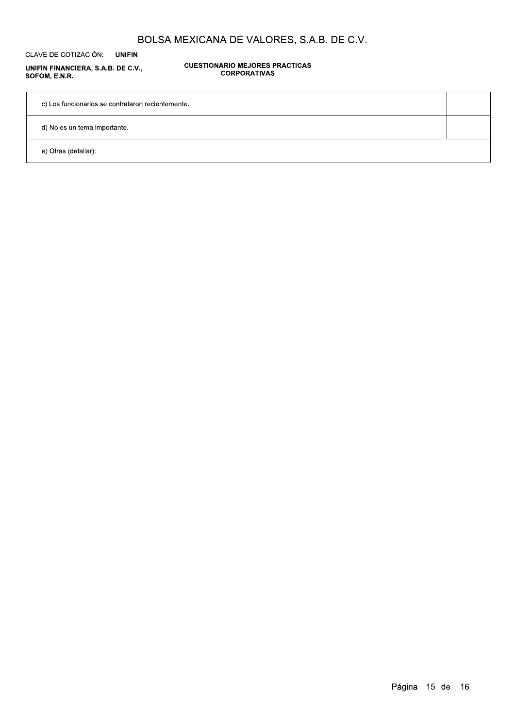CLAVE DE COTIZACIÓN: **UNIFIN** 

UNIFIN FINANCIERA, S.A.B. DE C.V., SOFOM, E.N.R.

**CUESTIONARIO MEJORES PRACTICAS CORPORATIVAS** 

c) Los funcionarios se contrataron recientemente.

d) No es un tema importante.

e) Otras (detallar):

Página 15 de 16